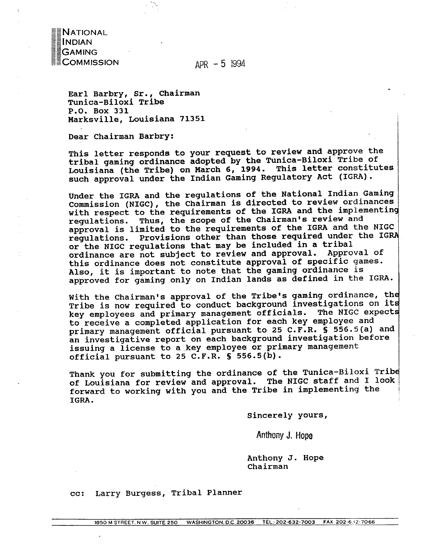$APR - 5$  1994

Earl Barbry, Sr., Chairman Tunica-Biloxi Tribe P.O. Box 331 Marksville, Louisiana 71351

Dear Chairman Barbry:

**NATIONAL** 

MENAN<br>GAMING<br>COMMISSION

This letter responds to your request to review and approve the tribal gaming ordinance adopted by the Tunica-Biloxi Tribe of Louisiana (the Tribe) on March 6, 1994. This letter constitutes such approval under the Indian Gaming Regulatory Act (IGRA).

Under the IGRA and the regulations of the National Indian Gaming Commission (NIGC), the Chairman is directed to review ordinances with respect to the requirements of the IGRA and the implementing regulations. Thus, the scope of the Chairman's review and approval is limited to the requirements of the IGRA and the NIGC regulations. Provisions other than those required under the IGRA or the NIGC regulations that may be included in a tribal ordinance are not subject to review and approval. Approval of this ordinance does not constitute approval of specific games. Also, it is important to note that the gaming ordinance is approved for gaming only on Indian lands as defined in the IGRA.

With the Chairman's approval of the Tribe's gaming ordinance, the Tribe is now required to conduct background investigations on its key employees and primary management officials. The NIGC expects to receive a completed application for each key employee and primary management official pursuant to 25 C.F.R. § 556.5(a) and an investigative report on each background investigation before issuing a license to a key employee or primary management official pursuant to 25 C.F.R. § 556.5(b).

Thank you for submitting the ordinance of the Tunica-Biloxi Tribe of Louisiana for review and approval. The NIGC staff and I look forward to working with you and the Tribe in implementing the IGRA.

Sincerely yours,

Anthony J. Hope

Anthony J. Hope Chairman

Larry Burgess, Tribal Planner  $cc:$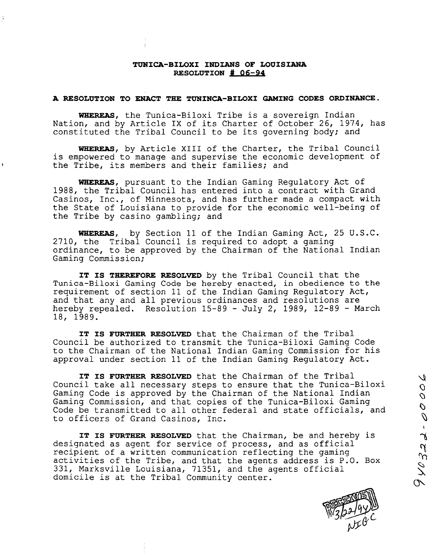# **TUNICA-BILOXI INDIANS OF LOUISIANA RESOLUTION**  $#$  **06-94**

#### **A RESOLUTION TO ENACT THE TUNINCA-BILOXI GAMING CODES ORDINANCE.**

**WHEREAS, the Tunica-Biloxi Tribe is <sup>a</sup> sovereign Indian Nation, and by Article IX of its Charter of October 26, 1974, has constituted the Tribal Council to be its governing body; and**

**WHEREAS, by Article XIII of the Charter, the Tribal Council is empowered to manage and supervise the economic development of the Tribe, its members and their families; and**

**WHEREAS, pursuant to the Indian Gaming Regulatory Act of 1988, the Tribal Council has entered into a contract with Grand Casinos, Inc., of Minnesota, and has further made <sup>a</sup> compact with the State of Louisiana to provide for the economic well-being of the Tribe by casino gambling; and**

**WHEREAS, by Section 11 of the Indian Gaming Act, 25 U.S.C. 2710, the Tribal Council is required to adopt <sup>a</sup> gaming ordinance, to be approved by the Chairman of the National Indian Gaming Commission;**

**IT IS THEREFORE RESOLVED by the Tribal Council that the Tunica-Biloxi Gaming Code be hereby enacted, in obedience to the requirement of section 11 of the Indian Gaming Regulatory Act, and that any and all previous ordinances and resolutions are hereby repealed. Resolution 15-89 - July 2, 1989, 1289 March 18, 1989.**

**IT IS FURTHER RESOLVED that the Chairman of the Tribal Council be authorized to transmit the Tunica-Biloxi Gaming Code to the Chairman of the National Indian Gaming Commission for his approval under section 11 of the Indian Gaming Regulatory Act.**

**IT IS FURTHER RESOLVED that the Chairman of the Tribal Council take all necessary steps to ensure that the Tunica-Biloxi Gaming Code is approved by the Chairman of the National Indian Gaming Commission, and that copies of the Tunica-Biloxi Gaming Code be transmitted to all other federal and state officials, and to officers of Grand Casinos, Inc.**

**IT IS FURTHER RESOLVED that the Chairman, be and hereby is designated as agent for service of process, and as official recipient of <sup>a</sup> written communication reflecting the gaming activities of the Tribe, and that the agents address is P.O. Box 331, Marksville Louisiana, 71351, and the agents official domicile is at the Tribal Community center.**



 $\mathcal{U}$  $\overline{O}$  $\mathcal{O}$ 

00-955016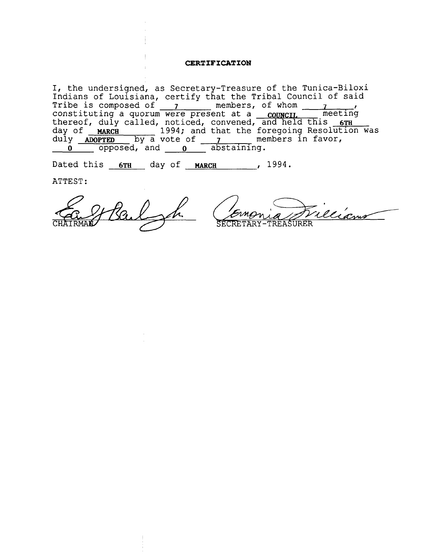# **CERTIFICATION**

**I, the undersigned, as Secretary-Treasure of the Tunica-Biloxi Indians of Louisiana, certify that the Tribal Council of said Tribe is composed of \_\_\_\_\_\_\_\_\_\_ members, of whom \_\_\_\_\_\_\_\_\_\_ constituting a quorum were present at <sup>a</sup> COUNCIL meeting thereof, duly called, noticed, convened, and held this 6TH day of ~J(Cfl 1994; and that the foregoing Resolution was** duly **ADOPTED** by a vote of **\_\_\_\_\_\_\_** members in favor, **<sup>0</sup> opposed, and <sup>o</sup> abstaining.**

**Dated this 6Th day of ~cii , 1994.**

**ATTEST:**

Caff Bail of

TREASURER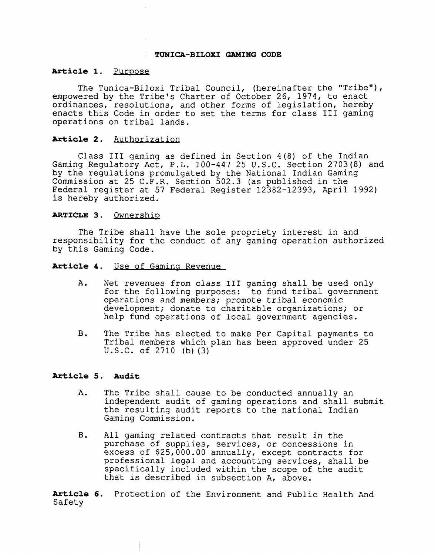#### **TUNICA-BILOXI GAMING CODE**

#### **Article 1. Purpose**

**The Tunica-Biloxi Tribal Council, (hereinafter the Tribe), empowered by the Tribes Charter of October 26, 1974, to enact ordinances, resolutions, and other forms of legislation, hereby enacts this Code in order to set the terms for class III gaming operations on tribal lands.**

## **Article 2. Authorization**

**Class III gaming as defined in Section 4(8) of the Indian Gaming Regulatory Act, P.L. 100-447 25 U.S.C. Section 2703(8) and by the regulations promulgated by the National Indian Gaming Commission at 25 C.F.R. Section 502.3 (as published in the Federal register at 57 Federal Register 1238212393, April 1992) is hereby authorized.**

#### **ARTICLE 3. Ownership**

**The Tribe shall have the sole propriety interest in and responsibility for the conduct of any gaming operation authorized by this Gaming Code.**

**Article 4. Use of Gaming Revenue**

- **A. Net revenues from class III gaming shall be used only for the following purposes: to fund tribal government operations and members; promote tribal economic development; donate to charitable organizations; or help fund operations of local government agencies.**
- **B. The Tribe has elected to make Per Capital payments to Tribal members which plan has been approved under 25 U.S.C. of 2710 (b) (3)**

# **Article 5. Audit**

- **A. The Tribe shall cause to be conducted annually an independent audit of gaming operations and shall submit the resulting audit reports to the national Indian Gaming Commission.**
- **B. All gaming related contracts that result in the purchase of supplies, services, or concessions in excess of \$25,000.00 annually, except contracts for professional legal and accounting services, shall be specifically included within the scope of the audit that is described in subsection A, above.**

**Article 6. Protection of the Environment and Public Health And Safety**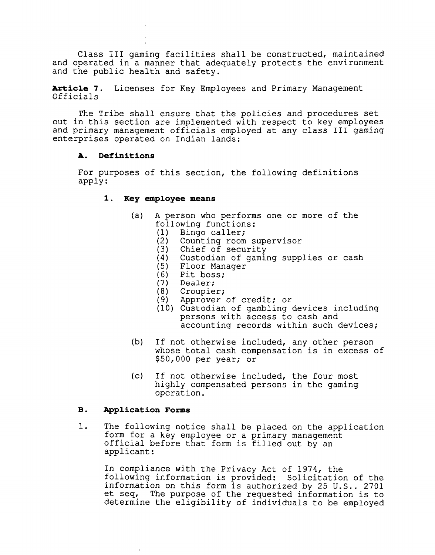**Class III gaming facilities shall be constructed, maintained and operated in <sup>a</sup> manner that adequately protects the environment and the public health and safety.**

**Article 7. Licenses for Key Employees and Primary Management Officials**

**The Tribe shall ensure that the policies and procedures set out in this section are implemented with respect to key employees and primary management officials employed at any class 111 gaming enterprises operated on Indian lands:**

## **A. Definitions**

**For purposes of this section, the following definitions apply:**

### **1. Key employee means**

- **(a) A person who performs one or more of the following functions:**
	- **(1) Bingo caller;**
	- **(2) Counting room supervisor**
	- **(3) Chief of security**
	- **(4) Custodian of gaming supplies or cash**
	- **(5) Floor Manager**
	- **(6) Pit boss;**
	- **(7) Dealer;**
	- **(8) Croupier;**
	- **(9) Approver of credit; or**
	- **(10) Custodian of gambling devices including persons with access to cash and accounting records within such devices;**
- **(b) If not otherwise included, any other person whose total cash compensation is in excess of \$50,000 per year; or**
- **(c) If not otherwise included, the four most highly compensated persons in the gaming operation.**

## **B. ~pplication Forms**

**1. The following notice shall be placed on the application form for <sup>a</sup> key employee or <sup>a</sup> primary management official before that form is filled out by an applicant:**

**In compliance with the Privacy Act of 1974, the following information is provided: Solicitation of the information on this form is authorized by 25 U.S.. 2701 et seq, The purpose of the requested information is to determine the eligibility of individuals to be employed**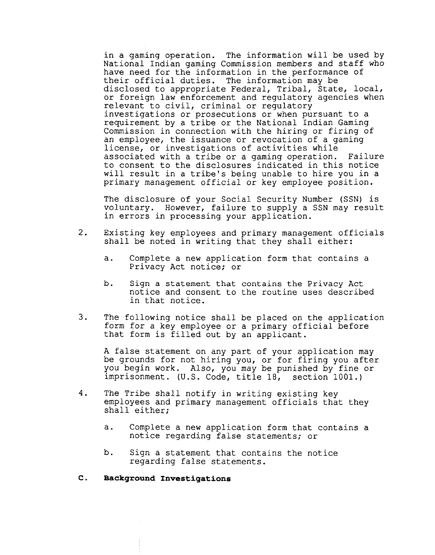**in <sup>a</sup> gaming operation. The information will be used by National Indian gaming Commission members and staff who have need for the information in the performance of their official duties. The information may be disclosed to appropriate Federal, Tribal, State, local, or foreign law enforcement and regulatory agencies when relevant to civil, criminal or regulatory investigations or prosecutions or when pursuant to a requirement by <sup>a</sup> tribe or the National Indian Gaming Commission in connection with the hiring or firing of an employee, the issuance or revocation of <sup>a</sup> gaming license, or investigations of activities while associated with <sup>a</sup> tribe or <sup>a</sup> gaming operation. Failure to consent to the disclosures indicated in this notice will result in <sup>a</sup> tribes being unable to hire you in <sup>a</sup> primary management official or key employee position.**

**The disclosure of your Social Security Number (SSN) is voluntary. However, failure to supply <sup>a</sup> SSN may result in errors in processing your application.**

- **2. Existing key employees and primary management officials shall be noted in writing that they shall either:**
	- **a. Complete <sup>a</sup> new application form that contains <sup>a</sup> Privacy Act notice; or**
	- **b. Sign a statement that contains the Privacy Act notice and consent to the routine uses described in that notice.**
- **3. The following notice shall be placed on the application form for <sup>a</sup> key employee or <sup>a</sup> primary official before that form is filled out by an applicant.**

**A false statement on any part of your application may be grounds for not hiring you, or for firing you after you begin work. Also, you may be punished by fine or imprisonment. (U.S. Code, title 18, section 1001.)**

- **4. The Tribe shall notify in writing existing key employees and primary management officials that they shall either;**
	- **a. Complete a new application form that contains a notice regarding false statements; or**
	- **b. Sign a statement that contains the notice regarding false statements.**
- **C. Background Investigations**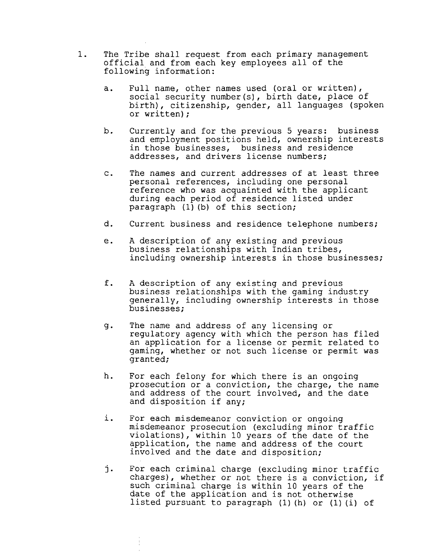- **1. The Tribe shall request from each primary management official and from each key employees all of the following information:**
	- **a. Full name, other names used (oral or written), social security number(s), birth date, place of birth), citizenship, gender, all languages (spoken or written);**
	- **b. Currently and for the previous <sup>5</sup> years: business and employment positions held, ownership interests in those businesses, business and residence addresses, and drivers license numbers;**
	- **c. The names and current addresses of at least three personal references, including one personal reference who was acquainted with the applicant during each period of residence listed under paragraph (1) (b) of this section;**
	- **d. Current business and residence telephone numbers;**
	- **e. A description of any existing and previous business relationships with Indian tribes, including ownership interests in those businesses;**
	- **f. A description of any existing and previous business relationships with the gaming industry generally, including ownership interests in those businesses;**
	- **g. The name and address of any licensing or regulatory agency with which the person has filed an application for <sup>a</sup> license or permit related to gaming, whether or not such license or permit was granted;**
	- **h. For each felony for which there is an ongoing prosecution or a conviction, the charge, the name and address of the court involved, and the date and disposition if any;**
	- **i. For each misdemeanor conviction or ongoing misdemeanor prosecution (excluding minor traffic violations), within <sup>10</sup> years of the date of the application, the name and address of the court involved and the date and disposition;**
	- **j. For each criminal charge (excluding minor traffic charges), whether or not there is <sup>a</sup> conviction, if such criminal charge is within <sup>10</sup> years of the date of the application and is not otherwise listed pursuant to paragraph (1) (h) or (1) (i) of**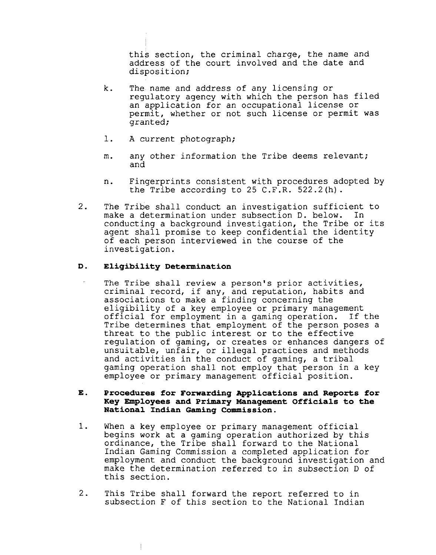**this section, the criminal charge, the name and address of the court involved and the date and disposition;**

- **k. The~ name and address of any licensing or regulatory agency with which the person has filed an application for an occupational license or permit, whether or not such license or permit was granted;**
- **1. A current photograph;**
- **m. any other information the Tribe deems relevant; and**
- **n. Fingerprints consistent with procedures adopted by the Tribe according to 25 C.F.R. 522.2(h).**
- **2. The Tribe shall conduct an investigation sufficient to make a determination under subsection D. below. In conducting <sup>a</sup> background investigation, the Tribe or its agent shall promise to keep confidential the identity of each person interviewed in the course of the investigation.**

# **D. Eligibility Determination**

 $\begin{array}{c} \hline \end{array}$ 

**The Tribe shall review <sup>a</sup> persons prior activities, criminal record, if any, and reputation, habits and associations to make a finding concerning the eligibility of a key employee or primary management official for employment in <sup>a</sup> gaming operation. If the Tribe determines that employment of the person poses <sup>a</sup> threat to the public interest or to the effective regulation of gaming, or creates or enhances dangers of unsuitable, unfair, or illegal practices and methods and activities in the conduct of gaming, a tribal gaming operation shall not employ that person in a key employee or primary management official position.**

# **E. Procedures for Forwarding applications and Reports for Key Employees and Primary Management Officials to the National Indian Gaming Commission.**

- **1. When <sup>a</sup> key employee or primary management official begins work at <sup>a</sup> gaming operation authorized by this ordinance, the Tribe shall forward to the National Indian Gaming Commission <sup>a</sup> completed application for employment and conduct the background investigation and make the determination referred to in subsection D of this section.**
- **2. This Tribe shall forward the report referred to in subsection F of this section to the National Indian**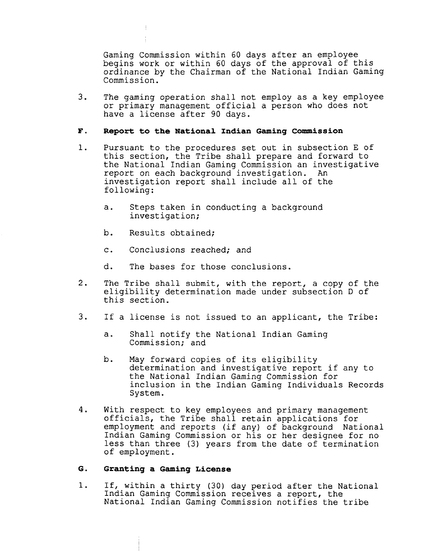**Gaming Commission within 60 days after an employee begins work or within <sup>60</sup> days of the approval of this ordinance by the Chairman of the National Indian Gaming Cominiss ion.**

**3. The gaming operation shall not employ as a key employee or primary management official <sup>a</sup> person who does not have <sup>a</sup> license after 90 days.**

# **F. Report to the National Indian Gaming Commission**

- **1. Pursuant to the procedures set out in subsection E of this section, the Tribe shall prepare and forward to the National Indian Gaming Commission an investigative report on each background investigation. An investigation report shall include all of the following:**
	- **a. Steps taken in conducting <sup>a</sup> background investigation;**
	- **b. Results obtained;**
	- **c. Conclusions reached; and**
	- **d. The bases for those conclusions.**
- **2. The Tribe shall submit, with the report, <sup>a</sup> copy of the eligibility determination made under subsection D of this section.**
- **3. If a license is not issued to an applicant, the Tribe:**
	- **a. Shall notify the National Indian Gaming Commission; and**
	- **b. May forward copies of its eligibility determination and investigative report if any to the National Indian Gaming Commission for inclusion in the Indian Gaming Individuals Records System.**
- **4. With respect to key employees and primary management officials, the Tribe shall retain applications for employment and reports (if any) of background National Indian Gaming Commission or his or her designee for no less than three (3) years from the date of termination of employment.**

## **G. Granting a Gaming License**

**1. If, within <sup>a</sup> thirty (30) day period after the National Indian Gaming Commission receives <sup>a</sup> report, the National Indian Gaming Commission notifies the tribe**